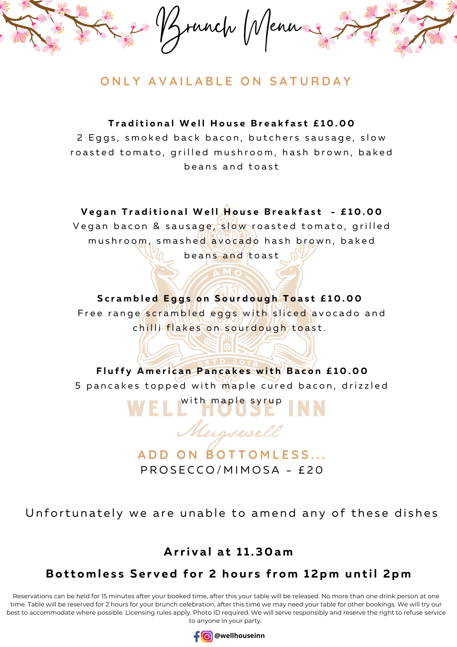

### **O N L Y A V A I L A B L E O N S A T U R D A Y**

Traditional Well House Breakfast £10.00

2 Eggs, smoked back bacon, butchers sausage, slow roasted tomato, grilled mushroom, hash brown, baked beans and toast

#### Vegan Traditional Well House Breakfast - £10.00

Vegan bacon & sausage, slow roasted tomato, grilled mushroom, smashed avocado hash brown, baked beans and toast

#### Scrambled Eggs on Sourdough Toast £10.00

Free range scrambled eggs with sliced avocado and chilli flakes on sourdough toast.

Fluffy American Pancakes with Bacon £10.00 5 pancakes topped with maple cured bacon, drizzled

# WELL<sup>with</sup> maple syrup Musswell

**A D D O N B O T T O M L E S S . . .** PROSECCO/MIMOSA - £20

Unfortunately we are unable to amend any of these dishes

#### **A rri v a l a t 1 1 . 3 0 a m**

### Bottomless Served for 2 hours from 12pm until 2pm

Reservations can be held for 15 minutes after your booked time, after this your table will be released. No more than one drink person at one time. Table will be reserved for 2 hours for your brunch celebration, after this time we may need your table for other bookings. We will try our best to accommodate where possible. Licensing rules apply. Photo ID required. We will serve responsibly and reserve the right to refuse service to anyone in your party.